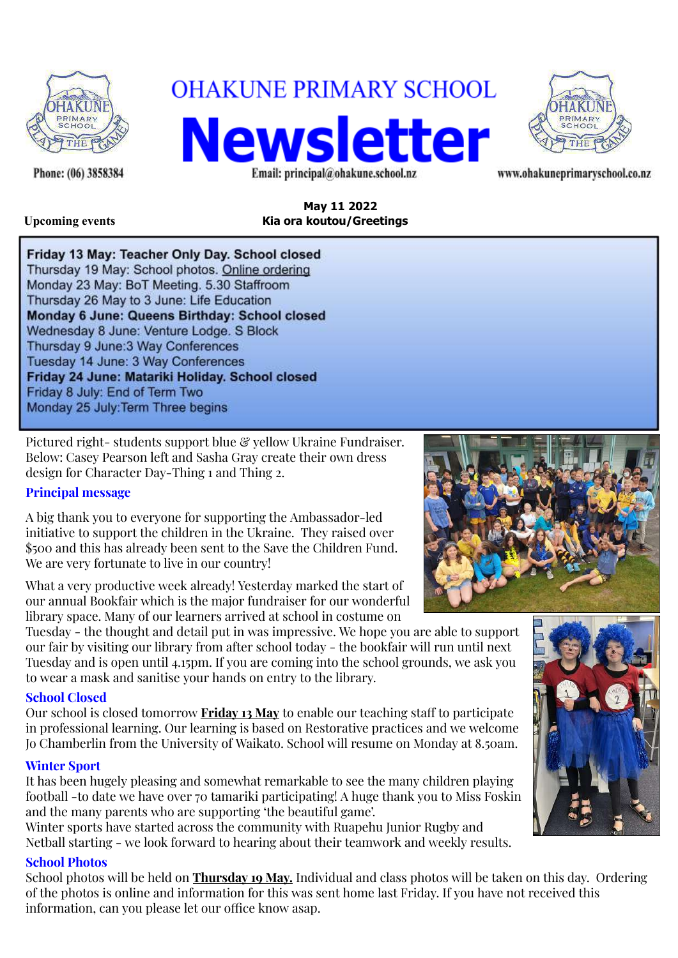

Phone: (06) 3858384

# **OHAKUNE PRIMARY SCHOOL**

**Newsletter** Email: principal@ohakune.school.nz



www.ohakuneprimaryschool.co.nz

**May 11 2022 Upcoming events Kia ora koutou/Greetings**

Friday 13 May: Teacher Only Day. School closed Thursday 19 May: School photos. Online ordering Monday 23 May: BoT Meeting. 5.30 Staffroom Thursday 26 May to 3 June: Life Education Monday 6 June: Queens Birthday: School closed Wednesday 8 June: Venture Lodge. S Block Thursday 9 June: 3 Way Conferences Tuesday 14 June: 3 Way Conferences Friday 24 June: Matariki Holiday. School closed Friday 8 July: End of Term Two Monday 25 July: Term Three begins

Pictured right- students support blue & yellow Ukraine Fundraiser. Below: Casey Pearson left and Sasha Gray create their own dress design for Character Day-Thing 1 and Thing 2.

## **Principal message**

A big thank you to everyone for supporting the Ambassador-led initiative to support the children in the Ukraine. They raised over \$500 and this has already been sent to the Save the Children Fund. We are very fortunate to live in our country!

What a very productive week already! Yesterday marked the start of our annual Bookfair which is the major fundraiser for our wonderful library space. Many of our learners arrived at school in costume on

Tuesday - the thought and detail put in was impressive. We hope you are able to support our fair by visiting our library from after school today - the bookfair will run until next Tuesday and is open until 4.15pm. If you are coming into the school grounds, we ask you to wear a mask and sanitise your hands on entry to the library.

#### **School Closed**

Our school is closed tomorrow **Friday 13 May** to enable our teaching staff to participate in professional learning. Our learning is based on Restorative practices and we welcome Jo Chamberlin from the University of Waikato. School will resume on Monday at 8.50am.

## **Winter Sport**

It has been hugely pleasing and somewhat remarkable to see the many children playing football -to date we have over 70 tamariki participating! A huge thank you to Miss Foskin and the many parents who are supporting 'the beautiful game'.

Winter sports have started across the community with Ruapehu Junior Rugby and Netball starting - we look forward to hearing about their teamwork and weekly results.

#### **School Photos**

School photos will be held on **Thursday 19 May.** Individual and class photos will be taken on this day. Ordering of the photos is online and information for this was sent home last Friday. If you have not received this information, can you please let our office know asap.



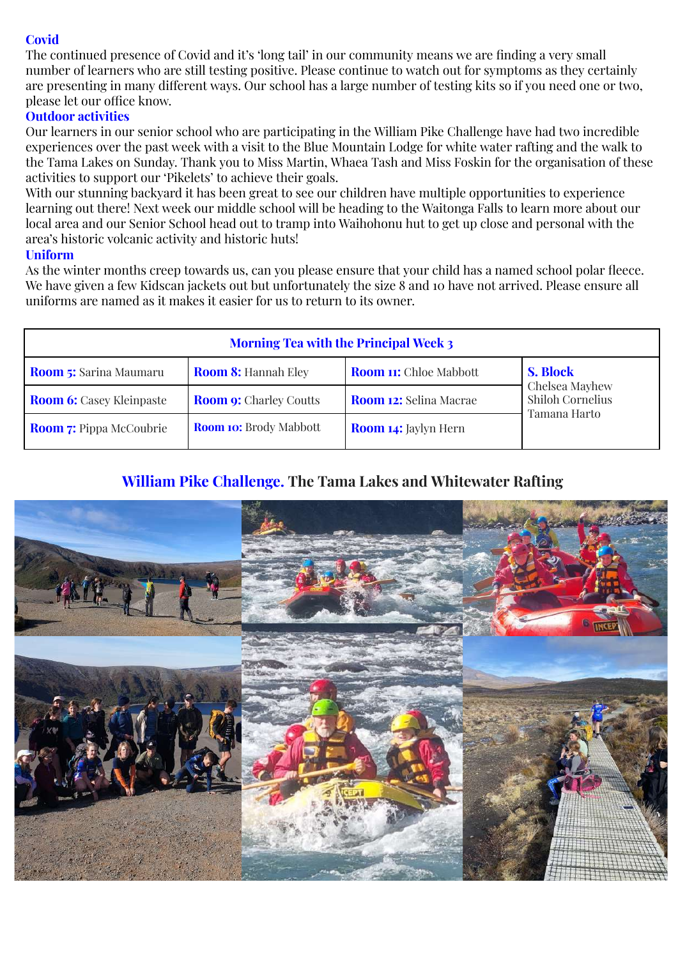# **Covid**

The continued presence of Covid and it's 'long tail' in our community means we are finding a very small number of learners who are still testing positive. Please continue to watch out for symptoms as they certainly are presenting in many different ways. Our school has a large number of testing kits so if you need one or two, please let our office know.

## **Outdoor activities**

Our learners in our senior school who are participating in the William Pike Challenge have had two incredible experiences over the past week with a visit to the Blue Mountain Lodge for white water rafting and the walk to the Tama Lakes on Sunday. Thank you to Miss Martin, Whaea Tash and Miss Foskin for the organisation of these activities to support our 'Pikelets' to achieve their goals.

With our stunning backyard it has been great to see our children have multiple opportunities to experience learning out there! Next week our middle school will be heading to the Waitonga Falls to learn more about our local area and our Senior School head out to tramp into Waihohonu hut to get up close and personal with the area's historic volcanic activity and historic huts!

#### **Uniform**

As the winter months creep towards us, can you please ensure that your child has a named school polar fleece. We have given a few Kidscan jackets out but unfortunately the size 8 and 10 have not arrived. Please ensure all uniforms are named as it makes it easier for us to return to its owner.

| <b>Morning Tea with the Principal Week 3</b> |                               |                               |                                                                       |
|----------------------------------------------|-------------------------------|-------------------------------|-----------------------------------------------------------------------|
| <b>Room 5:</b> Sarina Maumaru                | <b>Room 8: Hannah Eley</b>    | <b>Room 11:</b> Chloe Mabbott | <b>S. Block</b><br>Chelsea Mayhew<br>Shiloh Cornelius<br>Tamana Harto |
| <b>Room 6:</b> Casey Kleinpaste              | <b>Room 9:</b> Charley Coutts | <b>Room 12:</b> Selina Macrae |                                                                       |
| <b>Room 7:</b> Pippa McCoubrie               | <b>Room 10:</b> Brody Mabbott | <b>Room 14:</b> Jaylyn Hern   |                                                                       |

# **William Pike Challenge. The Tama Lakes and Whitewater Rafting**